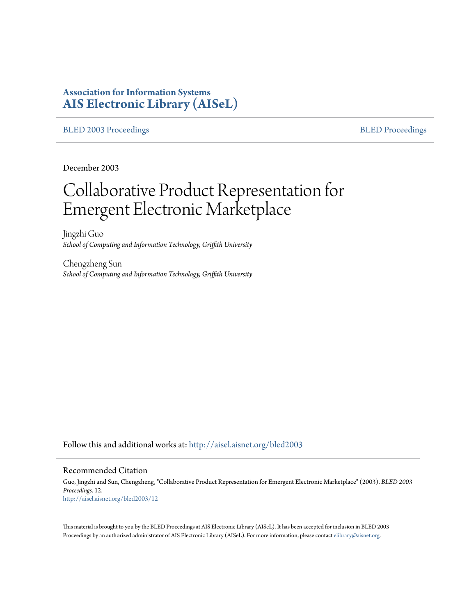# **Association for Information Systems [AIS Electronic Library \(AISeL\)](http://aisel.aisnet.org?utm_source=aisel.aisnet.org%2Fbled2003%2F12&utm_medium=PDF&utm_campaign=PDFCoverPages)**

## [BLED 2003 Proceedings](http://aisel.aisnet.org/bled2003?utm_source=aisel.aisnet.org%2Fbled2003%2F12&utm_medium=PDF&utm_campaign=PDFCoverPages) and the state of the state of the [BLED Proceedings](http://aisel.aisnet.org/bled?utm_source=aisel.aisnet.org%2Fbled2003%2F12&utm_medium=PDF&utm_campaign=PDFCoverPages) and the BLED Proceedings and the BLED Proceedings and the BLED Proceedings and the BLED Proceedings and the BLED Proceedings and the BLED Proceedings

December 2003

# Collaborative Product Representation for Emergent Electronic Marketplace

Jingzhi Guo *School of Computing and Information Technology, Griffith University*

Chengzheng Sun *School of Computing and Information Technology, Griffith University*

Follow this and additional works at: [http://aisel.aisnet.org/bled2003](http://aisel.aisnet.org/bled2003?utm_source=aisel.aisnet.org%2Fbled2003%2F12&utm_medium=PDF&utm_campaign=PDFCoverPages)

#### Recommended Citation

Guo, Jingzhi and Sun, Chengzheng, "Collaborative Product Representation for Emergent Electronic Marketplace" (2003). *BLED 2003 Proceedings*. 12. [http://aisel.aisnet.org/bled2003/12](http://aisel.aisnet.org/bled2003/12?utm_source=aisel.aisnet.org%2Fbled2003%2F12&utm_medium=PDF&utm_campaign=PDFCoverPages)

This material is brought to you by the BLED Proceedings at AIS Electronic Library (AISeL). It has been accepted for inclusion in BLED 2003 Proceedings by an authorized administrator of AIS Electronic Library (AISeL). For more information, please contact [elibrary@aisnet.org](mailto:elibrary@aisnet.org%3E).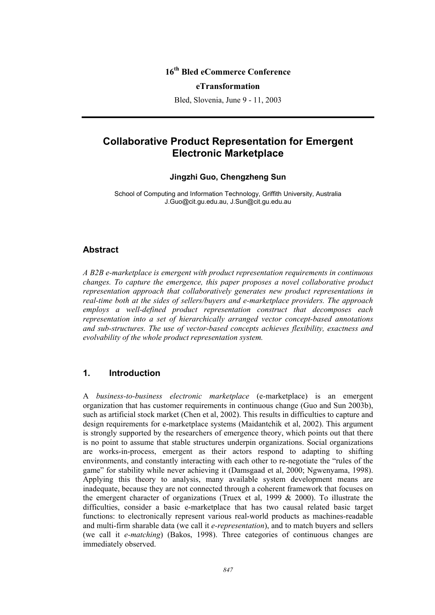# **16th Bled eCommerce Conference**

#### **eTransformation**

Bled, Slovenia, June 9 - 11, 2003

# **Collaborative Product Representation for Emergent Electronic Marketplace**

#### **Jingzhi Guo, Chengzheng Sun**

School of Computing and Information Technology, Griffith University, Australia J.Guo@cit.gu.edu.au, J.Sun@cit.gu.edu.au

#### **Abstract**

*A B2B e-marketplace is emergent with product representation requirements in continuous changes. To capture the emergence, this paper proposes a novel collaborative product representation approach that collaboratively generates new product representations in real-time both at the sides of sellers/buyers and e-marketplace providers. The approach employs a well-defined product representation construct that decomposes each representation into a set of hierarchically arranged vector concept-based annotations and sub-structures. The use of vector-based concepts achieves flexibility, exactness and evolvability of the whole product representation system.* 

# **1. Introduction**

A *business-to-business electronic marketplace* (e-marketplace) is an emergent organization that has customer requirements in continuous change (Guo and Sun 2003b), such as artificial stock market (Chen et al, 2002). This results in difficulties to capture and design requirements for e-marketplace systems (Maidantchik et al, 2002). This argument is strongly supported by the researchers of emergence theory, which points out that there is no point to assume that stable structures underpin organizations. Social organizations are works-in-process, emergent as their actors respond to adapting to shifting environments, and constantly interacting with each other to re-negotiate the "rules of the game" for stability while never achieving it (Damsgaad et al, 2000; Ngwenyama, 1998). Applying this theory to analysis, many available system development means are inadequate, because they are not connected through a coherent framework that focuses on the emergent character of organizations (Truex et al. 1999  $\&$  2000). To illustrate the difficulties, consider a basic e-marketplace that has two causal related basic target functions: to electronically represent various real-world products as machines-readable and multi-firm sharable data (we call it *e-representation*), and to match buyers and sellers (we call it *e-matching*) (Bakos, 1998). Three categories of continuous changes are immediately observed.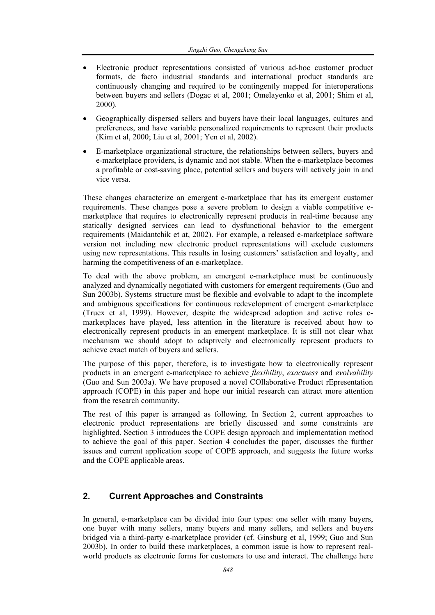- Electronic product representations consisted of various ad-hoc customer product formats, de facto industrial standards and international product standards are continuously changing and required to be contingently mapped for interoperations between buyers and sellers (Dogac et al, 2001; Omelayenko et al, 2001; Shim et al, 2000).
- Geographically dispersed sellers and buyers have their local languages, cultures and preferences, and have variable personalized requirements to represent their products (Kim et al, 2000; Liu et al, 2001; Yen et al, 2002).
- E-marketplace organizational structure, the relationships between sellers, buyers and e-marketplace providers, is dynamic and not stable. When the e-marketplace becomes a profitable or cost-saving place, potential sellers and buyers will actively join in and vice versa.

These changes characterize an emergent e-marketplace that has its emergent customer requirements. These changes pose a severe problem to design a viable competitive emarketplace that requires to electronically represent products in real-time because any statically designed services can lead to dysfunctional behavior to the emergent requirements (Maidantchik et at, 2002). For example, a released e-marketplace software version not including new electronic product representations will exclude customers using new representations. This results in losing customers' satisfaction and loyalty, and harming the competitiveness of an e-marketplace.

To deal with the above problem, an emergent e-marketplace must be continuously analyzed and dynamically negotiated with customers for emergent requirements (Guo and Sun 2003b). Systems structure must be flexible and evolvable to adapt to the incomplete and ambiguous specifications for continuous redevelopment of emergent e-marketplace (Truex et al, 1999). However, despite the widespread adoption and active roles emarketplaces have played, less attention in the literature is received about how to electronically represent products in an emergent marketplace. It is still not clear what mechanism we should adopt to adaptively and electronically represent products to achieve exact match of buyers and sellers.

The purpose of this paper, therefore, is to investigate how to electronically represent products in an emergent e-marketplace to achieve *flexibility*, *exactness* and *evolvability* (Guo and Sun 2003a). We have proposed a novel COllaborative Product rEpresentation approach (COPE) in this paper and hope our initial research can attract more attention from the research community.

The rest of this paper is arranged as following. In Section 2, current approaches to electronic product representations are briefly discussed and some constraints are highlighted. Section 3 introduces the COPE design approach and implementation method to achieve the goal of this paper. Section 4 concludes the paper, discusses the further issues and current application scope of COPE approach, and suggests the future works and the COPE applicable areas.

# **2. Current Approaches and Constraints**

In general, e-marketplace can be divided into four types: one seller with many buyers, one buyer with many sellers, many buyers and many sellers, and sellers and buyers bridged via a third-party e-marketplace provider (cf. Ginsburg et al, 1999; Guo and Sun 2003b). In order to build these marketplaces, a common issue is how to represent realworld products as electronic forms for customers to use and interact. The challenge here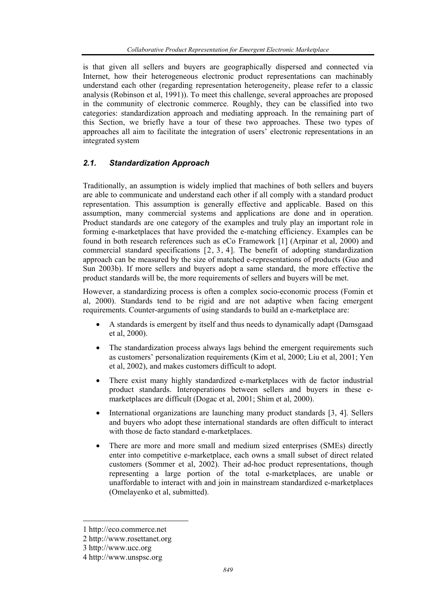is that given all sellers and buyers are geographically dispersed and connected via Internet, how their heterogeneous electronic product representations can machinably understand each other (regarding representation heterogeneity, please refer to a classic analysis (Robinson et al, 1991)). To meet this challenge, several approaches are proposed in the community of electronic commerce. Roughly, they can be classified into two categories: standardization approach and mediating approach. In the remaining part of this Section, we briefly have a tour of these two approaches. These two types of approaches all aim to facilitate the integration of users' electronic representations in an integrated system

# *2.1. Standardization Approach*

Traditionally, an assumption is widely implied that machines of both sellers and buyers are able to communicate and understand each other if all comply with a standard product representation. This assumption is generally effective and applicable. Based on this assumption, many commercial systems and applications are done and in operation. Product standards are one category of the examples and truly play an important role in forming e-marketplaces that have provided the e-matching efficiency. Examples can be found in both research references such as eCo Framework [1] (Arpinar et al, 2000) and commercial standard specifications [2, 3, 4]. The benefit of adopting standardization approach can be measured by the size of matched e-representations of products (Guo and Sun 2003b). If more sellers and buyers adopt a same standard, the more effective the product standards will be, the more requirements of sellers and buyers will be met.

However, a standardizing process is often a complex socio-economic process (Fomin et al, 2000). Standards tend to be rigid and are not adaptive when facing emergent requirements. Counter-arguments of using standards to build an e-marketplace are:

- A standards is emergent by itself and thus needs to dynamically adapt (Damsgaad et al, 2000).
- The standardization process always lags behind the emergent requirements such as customers' personalization requirements (Kim et al, 2000; Liu et al, 2001; Yen et al, 2002), and makes customers difficult to adopt.
- There exist many highly standardized e-marketplaces with de factor industrial product standards. Interoperations between sellers and buyers in these emarketplaces are difficult (Dogac et al, 2001; Shim et al, 2000).
- International organizations are launching many product standards [3, 4]. Sellers and buyers who adopt these international standards are often difficult to interact with those de facto standard e-marketplaces.
- There are more and more small and medium sized enterprises (SMEs) directly enter into competitive e-marketplace, each owns a small subset of direct related customers (Sommer et al, 2002). Their ad-hoc product representations, though representing a large portion of the total e-marketplaces, are unable or unaffordable to interact with and join in mainstream standardized e-marketplaces (Omelayenko et al, submitted).

 $\overline{\phantom{a}}$ 

<sup>1</sup> http://eco.commerce.net

<sup>2</sup> http://www.rosettanet.org

<sup>3</sup> http://www.ucc.org

<sup>4</sup> http://www.unspsc.org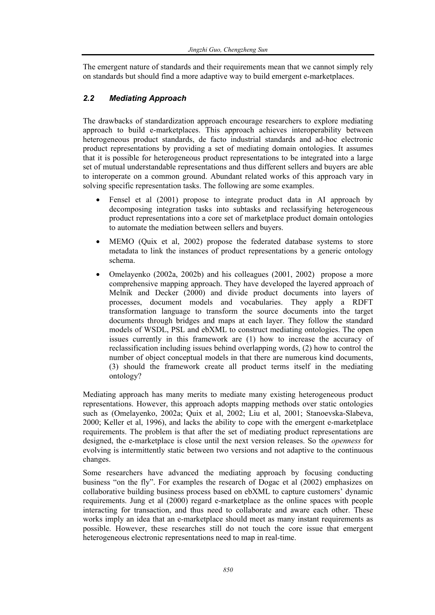The emergent nature of standards and their requirements mean that we cannot simply rely on standards but should find a more adaptive way to build emergent e-marketplaces.

# *2.2 Mediating Approach*

The drawbacks of standardization approach encourage researchers to explore mediating approach to build e-marketplaces. This approach achieves interoperability between heterogeneous product standards, de facto industrial standards and ad-hoc electronic product representations by providing a set of mediating domain ontologies. It assumes that it is possible for heterogeneous product representations to be integrated into a large set of mutual understandable representations and thus different sellers and buyers are able to interoperate on a common ground. Abundant related works of this approach vary in solving specific representation tasks. The following are some examples.

- Fensel et al (2001) propose to integrate product data in AI approach by decomposing integration tasks into subtasks and reclassifying heterogeneous product representations into a core set of marketplace product domain ontologies to automate the mediation between sellers and buyers.
- MEMO (Quix et al, 2002) propose the federated database systems to store metadata to link the instances of product representations by a generic ontology schema.
- Omelayenko (2002a, 2002b) and his colleagues (2001, 2002) propose a more comprehensive mapping approach. They have developed the layered approach of Melnik and Decker (2000) and divide product documents into layers of processes, document models and vocabularies. They apply a RDFT transformation language to transform the source documents into the target documents through bridges and maps at each layer. They follow the standard models of WSDL, PSL and ebXML to construct mediating ontologies. The open issues currently in this framework are (1) how to increase the accuracy of reclassification including issues behind overlapping words, (2) how to control the number of object conceptual models in that there are numerous kind documents, (3) should the framework create all product terms itself in the mediating ontology?

Mediating approach has many merits to mediate many existing heterogeneous product representations. However, this approach adopts mapping methods over static ontologies such as (Omelayenko, 2002a; Quix et al, 2002; Liu et al, 2001; Stanoevska-Slabeva, 2000; Keller et al, 1996), and lacks the ability to cope with the emergent e-marketplace requirements. The problem is that after the set of mediating product representations are designed, the e-marketplace is close until the next version releases. So the *openness* for evolving is intermittently static between two versions and not adaptive to the continuous changes.

Some researchers have advanced the mediating approach by focusing conducting business "on the fly". For examples the research of Dogac et al (2002) emphasizes on collaborative building business process based on ebXML to capture customers' dynamic requirements. Jung et al (2000) regard e-marketplace as the online spaces with people interacting for transaction, and thus need to collaborate and aware each other. These works imply an idea that an e-marketplace should meet as many instant requirements as possible. However, these researches still do not touch the core issue that emergent heterogeneous electronic representations need to map in real-time.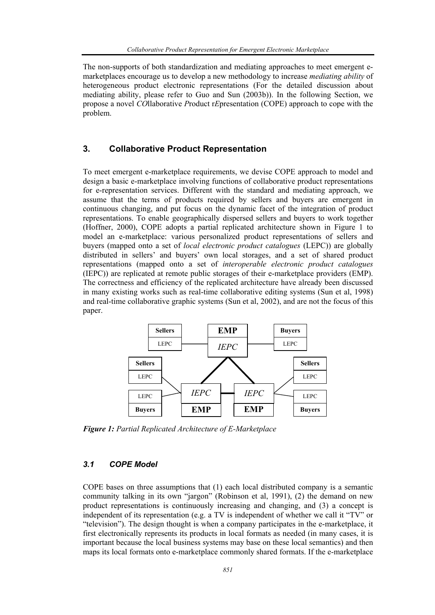The non-supports of both standardization and mediating approaches to meet emergent emarketplaces encourage us to develop a new methodology to increase *mediating ability* of heterogeneous product electronic representations (For the detailed discussion about mediating ability, please refer to Guo and Sun (2003b)). In the following Section, we propose a novel *CO*llaborative *P*roduct r*E*presentation (COPE) approach to cope with the problem.

# **3. Collaborative Product Representation**

To meet emergent e-marketplace requirements, we devise COPE approach to model and design a basic e-marketplace involving functions of collaborative product representations for e-representation services. Different with the standard and mediating approach, we assume that the terms of products required by sellers and buyers are emergent in continuous changing, and put focus on the dynamic facet of the integration of product representations. To enable geographically dispersed sellers and buyers to work together (Hoffner, 2000), COPE adopts a partial replicated architecture shown in Figure 1 to model an e-marketplace: various personalized product representations of sellers and buyers (mapped onto a set of *local electronic product catalogues* (LEPC)) are globally distributed in sellers' and buyers' own local storages, and a set of shared product representations (mapped onto a set of *interoperable electronic product catalogues* (IEPC)) are replicated at remote public storages of their e-marketplace providers (EMP). The correctness and efficiency of the replicated architecture have already been discussed in many existing works such as real-time collaborative editing systems (Sun et al, 1998) and real-time collaborative graphic systems (Sun et al, 2002), and are not the focus of this paper.



*Figure 1: Partial Replicated Architecture of E-Marketplace* 

## *3.1 COPE Model*

COPE bases on three assumptions that (1) each local distributed company is a semantic community talking in its own "jargon" (Robinson et al, 1991), (2) the demand on new product representations is continuously increasing and changing, and (3) a concept is independent of its representation (e.g. a TV is independent of whether we call it "TV" or "television"). The design thought is when a company participates in the e-marketplace, it first electronically represents its products in local formats as needed (in many cases, it is important because the local business systems may base on these local semantics) and then maps its local formats onto e-marketplace commonly shared formats. If the e-marketplace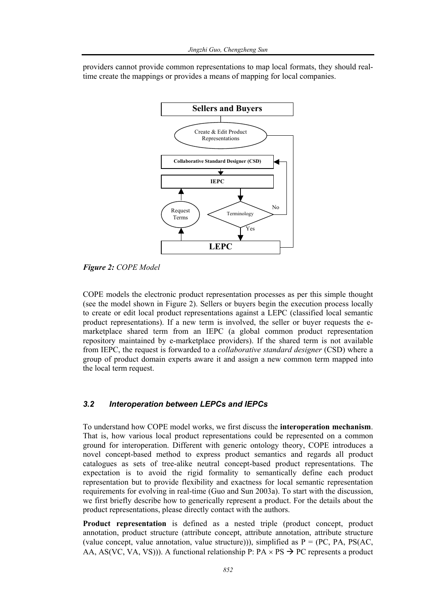providers cannot provide common representations to map local formats, they should realtime create the mappings or provides a means of mapping for local companies.



*Figure 2: COPE Model* 

COPE models the electronic product representation processes as per this simple thought (see the model shown in Figure 2). Sellers or buyers begin the execution process locally to create or edit local product representations against a LEPC (classified local semantic product representations). If a new term is involved, the seller or buyer requests the emarketplace shared term from an IEPC (a global common product representation repository maintained by e-marketplace providers). If the shared term is not available from IEPC, the request is forwarded to a *collaborative standard designer* (CSD) where a group of product domain experts aware it and assign a new common term mapped into the local term request.

## *3.2 Interoperation between LEPCs and IEPCs*

To understand how COPE model works, we first discuss the **interoperation mechanism**. That is, how various local product representations could be represented on a common ground for interoperation. Different with generic ontology theory, COPE introduces a novel concept-based method to express product semantics and regards all product catalogues as sets of tree-alike neutral concept-based product representations. The expectation is to avoid the rigid formality to semantically define each product representation but to provide flexibility and exactness for local semantic representation requirements for evolving in real-time (Guo and Sun 2003a). To start with the discussion, we first briefly describe how to generically represent a product. For the details about the product representations, please directly contact with the authors.

**Product representation** is defined as a nested triple (product concept, product annotation, product structure (attribute concept, attribute annotation, attribute structure (value concept, value annotation, value structure))), simplified as  $P = (PC, PA, PS(AC,$ AA, AS(VC, VA, VS))). A functional relationship P:  $PA \times PS \rightarrow PC$  represents a product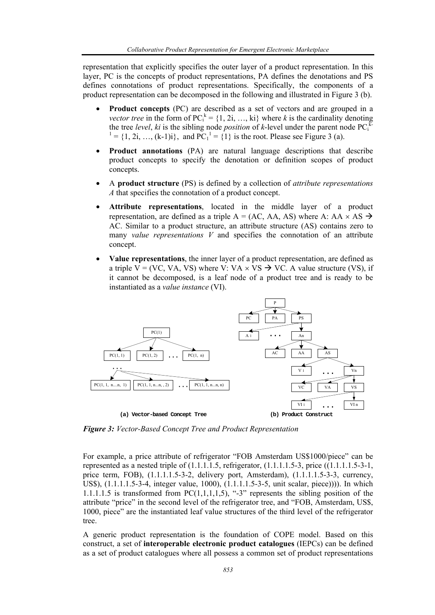representation that explicitly specifies the outer layer of a product representation. In this layer, PC is the concepts of product representations, PA defines the denotations and PS defines connotations of product representations. Specifically, the components of a product representation can be decomposed in the following and illustrated in Figure 3 (b).

- **Product concepts** (PC) are described as a set of vectors and are grouped in a *vector tree* in the form of  $PC_i^k = \{1, 2i, ..., ki\}$  where *k* is the cardinality denoting the tree *level*, ki is the sibling node *position* of k-level under the parent node  $PC_i^k$ <sup>1</sup> = {1, 2i, ..., (k-1)i}, and  $PC_1^1 = \{1\}$  is the root. Please see Figure 3 (a).
- **Product annotations** (PA) are natural language descriptions that describe product concepts to specify the denotation or definition scopes of product concepts.
- A **product structure** (PS) is defined by a collection of *attribute representations A* that specifies the connotation of a product concept.
- **Attribute representations**, located in the middle layer of a product representation, are defined as a triple  $A = (AC, AA, AS)$  where A:  $AA \times AS \rightarrow$ AC. Similar to a product structure, an attribute structure (AS) contains zero to many *value representations V* and specifies the connotation of an attribute concept.
- **Value representations**, the inner layer of a product representation, are defined as a triple V = (VC, VA, VS) where V: VA  $\times$  VS  $\rightarrow$  VC. A value structure (VS), if it cannot be decomposed, is a leaf node of a product tree and is ready to be instantiated as a *value instance* (VI).



*Figure 3: Vector-Based Concept Tree and Product Representation* 

For example, a price attribute of refrigerator "FOB Amsterdam US\$1000/piece" can be represented as a nested triple of  $(1.1.1.1.5, \text{refrigerator}, (1.1.1.1.5-3, \text{price}, (1.1.1.1.5-3-1, \text{etc.}))$ price term, FOB), (1.1.1.1.5-3-2, delivery port, Amsterdam), (1.1.1.1.5-3-3, currency, US\$), (1.1.1.1.5-3-4, integer value, 1000), (1.1.1.1.5-3-5, unit scalar, piece)))). In which 1.1.1.1.5 is transformed from PC $(1,1,1,1,5)$ , "-3" represents the sibling position of the attribute "price" in the second level of the refrigerator tree, and "FOB, Amsterdam, US\$, 1000, piece" are the instantiated leaf value structures of the third level of the refrigerator tree.

A generic product representation is the foundation of COPE model. Based on this construct, a set of **interoperable electronic product catalogues** (IEPCs) can be defined as a set of product catalogues where all possess a common set of product representations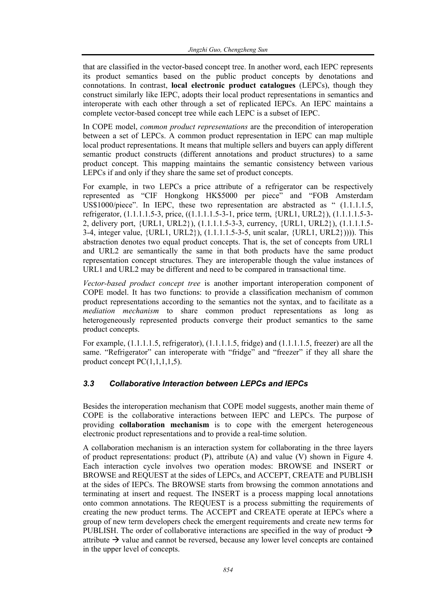that are classified in the vector-based concept tree. In another word, each IEPC represents its product semantics based on the public product concepts by denotations and connotations. In contrast, **local electronic product catalogues** (LEPCs), though they construct similarly like IEPC, adopts their local product representations in semantics and interoperate with each other through a set of replicated IEPCs. An IEPC maintains a complete vector-based concept tree while each LEPC is a subset of IEPC.

In COPE model, *common product representations* are the precondition of interoperation between a set of LEPCs. A common product representation in IEPC can map multiple local product representations. It means that multiple sellers and buyers can apply different semantic product constructs (different annotations and product structures) to a same product concept. This mapping maintains the semantic consistency between various LEPCs if and only if they share the same set of product concepts.

For example, in two LEPCs a price attribute of a refrigerator can be respectively represented as "CIF Hongkong HK\$5000 per piece" and "FOB Amsterdam US\$1000/piece". In IEPC, these two representation are abstracted as " (1.1.1.1.5, refrigerator, (1.1.1.1.5-3, price, ((1.1.1.1.5-3-1, price term, {URL1, URL2}), (1.1.1.1.5-3- 2, delivery port, {URL1, URL2}), (1.1.1.1.5-3-3, currency, {URL1, URL2}), (1.1.1.1.5- 3-4, integer value, {URL1, URL2}), (1.1.1.1.5-3-5, unit scalar, {URL1, URL2})))). This abstraction denotes two equal product concepts. That is, the set of concepts from URL1 and URL2 are semantically the same in that both products have the same product representation concept structures. They are interoperable though the value instances of URL1 and URL2 may be different and need to be compared in transactional time.

*Vector-based product concept tree* is another important interoperation component of COPE model. It has two functions: to provide a classification mechanism of common product representations according to the semantics not the syntax, and to facilitate as a *mediation mechanism* to share common product representations as long as heterogeneously represented products converge their product semantics to the same product concepts.

For example, (1.1.1.1.5, refrigerator), (1.1.1.1.5, fridge) and (1.1.1.1.5, freezer) are all the same. "Refrigerator" can interoperate with "fridge" and "freezer" if they all share the product concept PC(1,1,1,1,5).

# *3.3 Collaborative Interaction between LEPCs and IEPCs*

Besides the interoperation mechanism that COPE model suggests, another main theme of COPE is the collaborative interactions between IEPC and LEPCs. The purpose of providing **collaboration mechanism** is to cope with the emergent heterogeneous electronic product representations and to provide a real-time solution.

A collaboration mechanism is an interaction system for collaborating in the three layers of product representations: product  $(P)$ , attribute  $(A)$  and value  $(V)$  shown in Figure 4. Each interaction cycle involves two operation modes: BROWSE and INSERT or BROWSE and REQUEST at the sides of LEPCs, and ACCEPT, CREATE and PUBLISH at the sides of IEPCs. The BROWSE starts from browsing the common annotations and terminating at insert and request. The INSERT is a process mapping local annotations onto common annotations. The REQUEST is a process submitting the requirements of creating the new product terms. The ACCEPT and CREATE operate at IEPCs where a group of new term developers check the emergent requirements and create new terms for PUBLISH. The order of collaborative interactions are specified in the way of product  $\rightarrow$ attribute  $\rightarrow$  value and cannot be reversed, because any lower level concepts are contained in the upper level of concepts.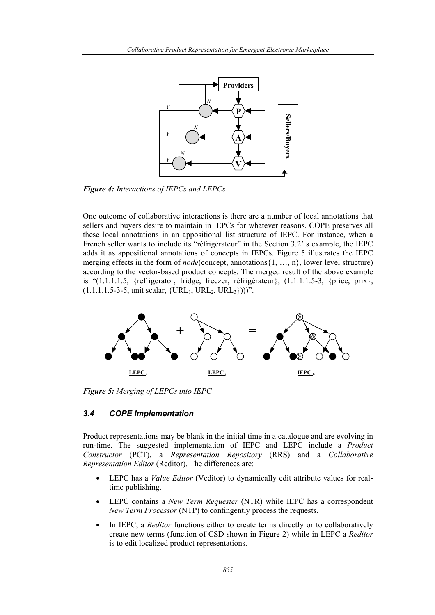

*Figure 4: Interactions of IEPCs and LEPCs* 

One outcome of collaborative interactions is there are a number of local annotations that sellers and buyers desire to maintain in IEPCs for whatever reasons. COPE preserves all these local annotations in an appositional list structure of IEPC. For instance, when a French seller wants to include its "réfrigérateur" in the Section 3.2' s example, the IEPC adds it as appositional annotations of concepts in IEPCs. Figure 5 illustrates the IEPC merging effects in the form of *node*(concept, annotations{1, …, n}, lower level structure) according to the vector-based product concepts. The merged result of the above example is "(1.1.1.1.5, {refrigerator, fridge, freezer, réfrigérateur}, (1.1.1.1.5-3, {price, prix},  $(1.1.1.1.5-3-5, \text{unit scalar}, \{URL_1, URL_2, URL_3\}))$ ".



*Figure 5: Merging of LEPCs into IEPC* 

## *3.4 COPE Implementation*

Product representations may be blank in the initial time in a catalogue and are evolving in run-time. The suggested implementation of IEPC and LEPC include a *Product Constructor* (PCT), a *Representation Repository* (RRS) and a *Collaborative Representation Editor* (Reditor). The differences are:

- LEPC has a *Value Editor* (Veditor) to dynamically edit attribute values for realtime publishing.
- LEPC contains a *New Term Requester* (NTR) while IEPC has a correspondent *New Term Processor* (NTP) to contingently process the requests.
- In IEPC, a *Reditor* functions either to create terms directly or to collaboratively create new terms (function of CSD shown in Figure 2) while in LEPC a *Reditor* is to edit localized product representations.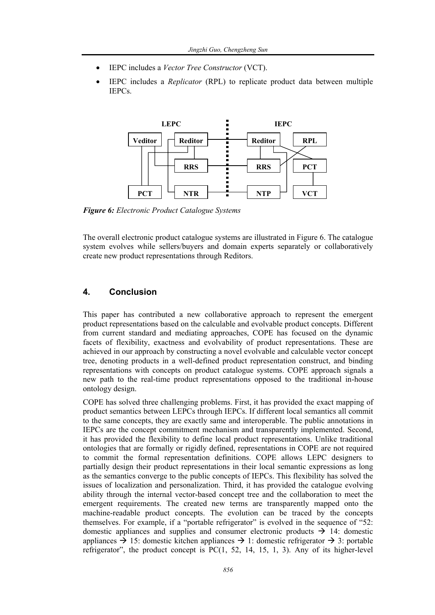- IEPC includes a *Vector Tree Constructor* (VCT).
- IEPC includes a *Replicator* (RPL) to replicate product data between multiple IEPCs.



*Figure 6: Electronic Product Catalogue Systems* 

The overall electronic product catalogue systems are illustrated in Figure 6. The catalogue system evolves while sellers/buyers and domain experts separately or collaboratively create new product representations through Reditors.

# **4. Conclusion**

This paper has contributed a new collaborative approach to represent the emergent product representations based on the calculable and evolvable product concepts. Different from current standard and mediating approaches, COPE has focused on the dynamic facets of flexibility, exactness and evolvability of product representations. These are achieved in our approach by constructing a novel evolvable and calculable vector concept tree, denoting products in a well-defined product representation construct, and binding representations with concepts on product catalogue systems. COPE approach signals a new path to the real-time product representations opposed to the traditional in-house ontology design.

COPE has solved three challenging problems. First, it has provided the exact mapping of product semantics between LEPCs through IEPCs. If different local semantics all commit to the same concepts, they are exactly same and interoperable. The public annotations in IEPCs are the concept commitment mechanism and transparently implemented. Second, it has provided the flexibility to define local product representations. Unlike traditional ontologies that are formally or rigidly defined, representations in COPE are not required to commit the formal representation definitions. COPE allows LEPC designers to partially design their product representations in their local semantic expressions as long as the semantics converge to the public concepts of IEPCs. This flexibility has solved the issues of localization and personalization. Third, it has provided the catalogue evolving ability through the internal vector-based concept tree and the collaboration to meet the emergent requirements. The created new terms are transparently mapped onto the machine-readable product concepts. The evolution can be traced by the concepts themselves. For example, if a "portable refrigerator" is evolved in the sequence of "52: domestic appliances and supplies and consumer electronic products  $\rightarrow$  14: domestic appliances  $\rightarrow$  15: domestic kitchen appliances  $\rightarrow$  1: domestic refrigerator  $\rightarrow$  3: portable refrigerator", the product concept is  $PC(1, 52, 14, 15, 1, 3)$ . Any of its higher-level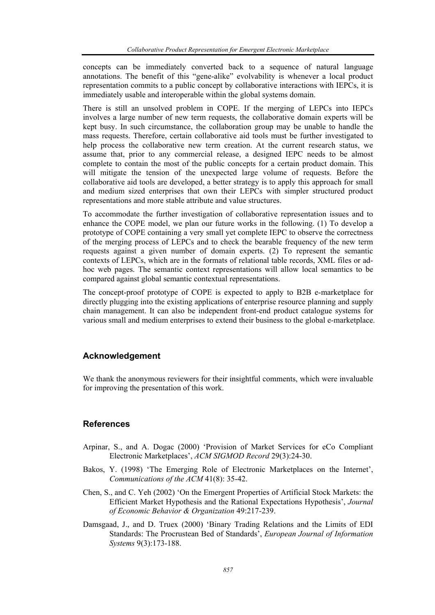concepts can be immediately converted back to a sequence of natural language annotations. The benefit of this "gene-alike" evolvability is whenever a local product representation commits to a public concept by collaborative interactions with IEPCs, it is immediately usable and interoperable within the global systems domain.

There is still an unsolved problem in COPE. If the merging of LEPCs into IEPCs involves a large number of new term requests, the collaborative domain experts will be kept busy. In such circumstance, the collaboration group may be unable to handle the mass requests. Therefore, certain collaborative aid tools must be further investigated to help process the collaborative new term creation. At the current research status, we assume that, prior to any commercial release, a designed IEPC needs to be almost complete to contain the most of the public concepts for a certain product domain. This will mitigate the tension of the unexpected large volume of requests. Before the collaborative aid tools are developed, a better strategy is to apply this approach for small and medium sized enterprises that own their LEPCs with simpler structured product representations and more stable attribute and value structures.

To accommodate the further investigation of collaborative representation issues and to enhance the COPE model, we plan our future works in the following. (1) To develop a prototype of COPE containing a very small yet complete IEPC to observe the correctness of the merging process of LEPCs and to check the bearable frequency of the new term requests against a given number of domain experts. (2) To represent the semantic contexts of LEPCs, which are in the formats of relational table records, XML files or adhoc web pages. The semantic context representations will allow local semantics to be compared against global semantic contextual representations.

The concept-proof prototype of COPE is expected to apply to B2B e-marketplace for directly plugging into the existing applications of enterprise resource planning and supply chain management. It can also be independent front-end product catalogue systems for various small and medium enterprises to extend their business to the global e-marketplace.

## **Acknowledgement**

We thank the anonymous reviewers for their insightful comments, which were invaluable for improving the presentation of this work.

## **References**

- Arpinar, S., and A. Dogac (2000) 'Provision of Market Services for eCo Compliant Electronic Marketplaces', *ACM SIGMOD Record* 29(3):24-30.
- Bakos, Y. (1998) 'The Emerging Role of Electronic Marketplaces on the Internet', *Communications of the ACM* 41(8): 35-42.
- Chen, S., and C. Yeh (2002) 'On the Emergent Properties of Artificial Stock Markets: the Efficient Market Hypothesis and the Rational Expectations Hypothesis', *Journal of Economic Behavior & Organization* 49:217-239.
- Damsgaad, J., and D. Truex (2000) 'Binary Trading Relations and the Limits of EDI Standards: The Procrustean Bed of Standards', *European Journal of Information Systems* 9(3):173-188.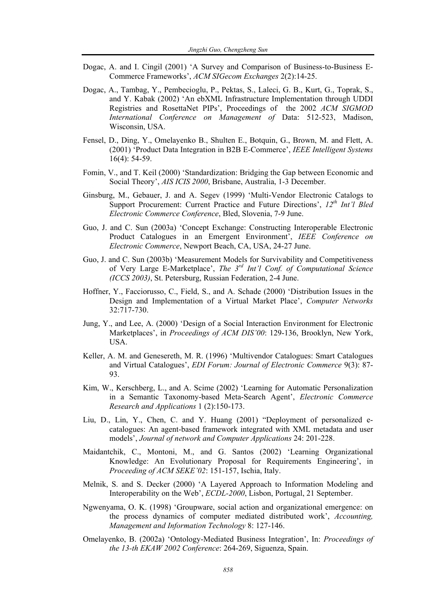- Dogac, A. and I. Cingil (2001) 'A Survey and Comparison of Business-to-Business E-Commerce Frameworks', *ACM SIGecom Exchanges* 2(2):14-25.
- Dogac, A., Tambag, Y., Pembecioglu, P., Pektas, S., Laleci, G. B., Kurt, G., Toprak, S., and Y. Kabak (2002) 'An ebXML Infrastructure Implementation through UDDI Registries and RosettaNet PIPs', Proceedings of the 2002 *ACM SIGMOD International Conference on Management of* Data: 512-523, Madison, Wisconsin, USA.
- Fensel, D., Ding, Y., Omelayenko B., Shulten E., Botquin, G., Brown, M. and Flett, A. (2001) 'Product Data Integration in B2B E-Commerce', *IEEE Intelligent Systems* 16(4): 54-59.
- Fomin, V., and T. Keil (2000) 'Standardization: Bridging the Gap between Economic and Social Theory', *AIS ICIS 2000*, Brisbane, Australia, 1-3 December.
- Ginsburg, M., Gebauer, J. and A. Segev (1999) 'Multi-Vendor Electronic Catalogs to Support Procurement: Current Practice and Future Directions', *12th Int'l Bled Electronic Commerce Conference*, Bled, Slovenia, 7-9 June.
- Guo, J. and C. Sun (2003a) 'Concept Exchange: Constructing Interoperable Electronic Product Catalogues in an Emergent Environment', *IEEE Conference on Electronic Commerce*, Newport Beach, CA, USA, 24-27 June.
- Guo, J. and C. Sun (2003b) 'Measurement Models for Survivability and Competitiveness of Very Large E-Marketplace', *The 3rd Int'l Conf. of Computational Science (ICCS 2003)*, St. Petersburg, Russian Federation, 2-4 June.
- Hoffner, Y., Facciorusso, C., Field, S., and A. Schade (2000) 'Distribution Issues in the Design and Implementation of a Virtual Market Place', *Computer Networks* 32:717-730.
- Jung, Y., and Lee, A. (2000) 'Design of a Social Interaction Environment for Electronic Marketplaces', in *Proceedings of ACM DIS'00*: 129-136, Brooklyn, New York, USA.
- Keller, A. M. and Genesereth, M. R. (1996) 'Multivendor Catalogues: Smart Catalogues and Virtual Catalogues', *EDI Forum: Journal of Electronic Commerce* 9(3): 87- 93.
- Kim, W., Kerschberg, L., and A. Scime (2002) 'Learning for Automatic Personalization in a Semantic Taxonomy-based Meta-Search Agent', *Electronic Commerce Research and Applications* 1 (2):150-173.
- Liu, D., Lin, Y., Chen, C. and Y. Huang (2001) "Deployment of personalized ecatalogues: An agent-based framework integrated with XML metadata and user models', *Journal of network and Computer Applications* 24: 201-228.
- Maidantchik, C., Montoni, M., and G. Santos (2002) 'Learning Organizational Knowledge: An Evolutionary Proposal for Requirements Engineering', in *Proceeding of ACM SEKE'02*: 151-157, Ischia, Italy.
- Melnik, S. and S. Decker (2000) 'A Layered Approach to Information Modeling and Interoperability on the Web', *ECDL-2000*, Lisbon, Portugal, 21 September.
- Ngwenyama, O. K. (1998) 'Groupware, social action and organizational emergence: on the process dynamics of computer mediated distributed work', *Accounting, Management and Information Technology* 8: 127-146.
- Omelayenko, B. (2002a) 'Ontology-Mediated Business Integration', In: *Proceedings of the 13-th EKAW 2002 Conference*: 264-269, Siguenza, Spain.